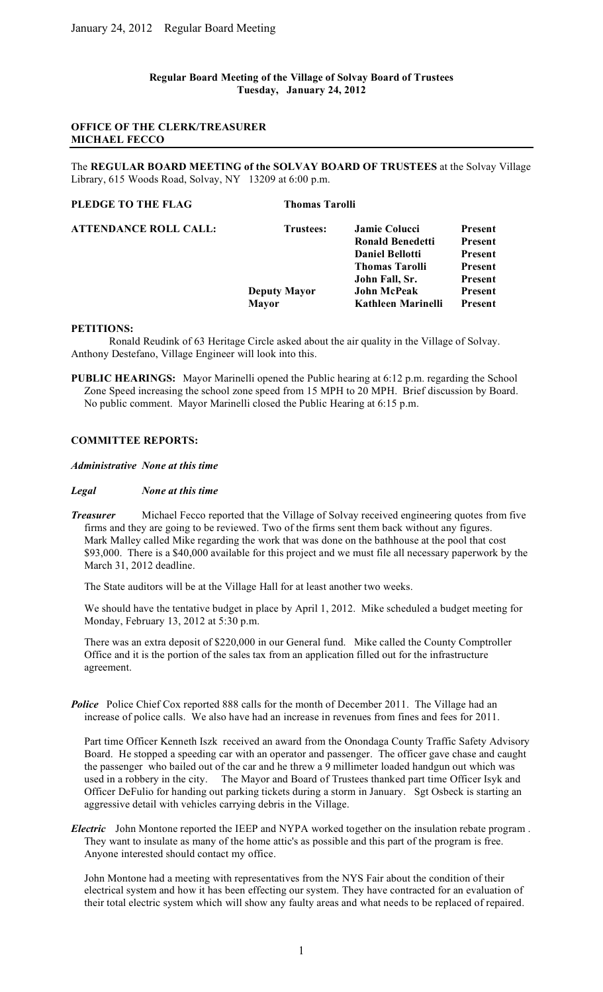### **Regular Board Meeting of the Village of Solvay Board of Trustees Tuesday, January 24, 2012**

## **OFFICE OF THE CLERK/TREASURER MICHAEL FECCO**

The **REGULAR BOARD MEETING of the SOLVAY BOARD OF TRUSTEES** at the Solvay Village Library, 615 Woods Road, Solvay, NY 13209 at 6:00 p.m.

# **PLEDGE TO THE FLAG** Thomas Tarolli

| ATTENDANCE ROLL CALL: | Trustees:           | <b>Jamie Colucci</b><br><b>Ronald Benedetti</b> | <b>Present</b><br><b>Present</b> |
|-----------------------|---------------------|-------------------------------------------------|----------------------------------|
|                       |                     | <b>Daniel Bellotti</b>                          | <b>Present</b>                   |
|                       |                     | <b>Thomas Tarolli</b>                           | <b>Present</b>                   |
|                       |                     | John Fall, Sr.                                  | <b>Present</b>                   |
|                       | <b>Deputy Mayor</b> | <b>John McPeak</b>                              | <b>Present</b>                   |
|                       | <b>Mayor</b>        | Kathleen Marinelli                              | <b>Present</b>                   |
|                       |                     |                                                 |                                  |

#### **PETITIONS:**

 Ronald Reudink of 63 Heritage Circle asked about the air quality in the Village of Solvay. Anthony Destefano, Village Engineer will look into this.

**PUBLIC HEARINGS:** Mayor Marinelli opened the Public hearing at 6:12 p.m. regarding the School Zone Speed increasing the school zone speed from 15 MPH to 20 MPH. Brief discussion by Board. No public comment. Mayor Marinelli closed the Public Hearing at 6:15 p.m.

## **COMMITTEE REPORTS:**

*Administrative None at this time*

#### *Legal None at this time*

*Treasurer* Michael Fecco reported that the Village of Solvay received engineering quotes from five firms and they are going to be reviewed. Two of the firms sent them back without any figures. Mark Malley called Mike regarding the work that was done on the bathhouse at the pool that cost \$93,000. There is a \$40,000 available for this project and we must file all necessary paperwork by the March 31, 2012 deadline.

The State auditors will be at the Village Hall for at least another two weeks.

We should have the tentative budget in place by April 1, 2012. Mike scheduled a budget meeting for Monday, February 13, 2012 at 5:30 p.m.

There was an extra deposit of \$220,000 in our General fund. Mike called the County Comptroller Office and it is the portion of the sales tax from an application filled out for the infrastructure agreement.

*Police* Police Chief Cox reported 888 calls for the month of December 2011. The Village had an increase of police calls. We also have had an increase in revenues from fines and fees for 2011.

Part time Officer Kenneth Iszk received an award from the Onondaga County Traffic Safety Advisory Board. He stopped a speeding car with an operator and passenger. The officer gave chase and caught the passenger who bailed out of the car and he threw a 9 millimeter loaded handgun out which was used in a robbery in the city. The Mayor and Board of Trustees thanked part time Officer Isyk and Officer DeFulio for handing out parking tickets during a storm in January. Sgt Osbeck is starting an aggressive detail with vehicles carrying debris in the Village.

*Electric* John Montone reported the IEEP and NYPA worked together on the insulation rebate program . They want to insulate as many of the home attic's as possible and this part of the program is free. Anyone interested should contact my office.

John Montone had a meeting with representatives from the NYS Fair about the condition of their electrical system and how it has been effecting our system. They have contracted for an evaluation of their total electric system which will show any faulty areas and what needs to be replaced of repaired.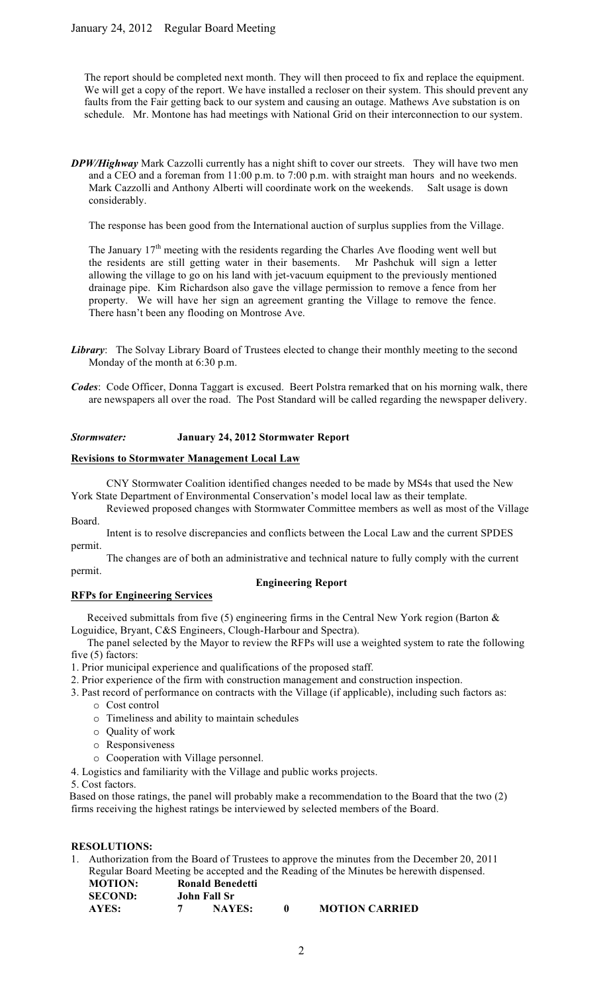The report should be completed next month. They will then proceed to fix and replace the equipment. We will get a copy of the report. We have installed a recloser on their system. This should prevent any faults from the Fair getting back to our system and causing an outage. Mathews Ave substation is on schedule. Mr. Montone has had meetings with National Grid on their interconnection to our system.

*DPW/Highway* Mark Cazzolli currently has a night shift to cover our streets. They will have two men and a CEO and a foreman from 11:00 p.m. to 7:00 p.m. with straight man hours and no weekends. Mark Cazzolli and Anthony Alberti will coordinate work on the weekends. Salt usage is down considerably.

The response has been good from the International auction of surplus supplies from the Village.

The January  $17<sup>th</sup>$  meeting with the residents regarding the Charles Ave flooding went well but the residents are still getting water in their basements. Mr Pashchuk will sign a letter allowing the village to go on his land with jet-vacuum equipment to the previously mentioned drainage pipe. Kim Richardson also gave the village permission to remove a fence from her property. We will have her sign an agreement granting the Village to remove the fence. There hasn't been any flooding on Montrose Ave.

- **Library:** The Solvay Library Board of Trustees elected to change their monthly meeting to the second Monday of the month at 6:30 p.m.
- *Codes*: Code Officer, Donna Taggart is excused. Beert Polstra remarked that on his morning walk, there are newspapers all over the road. The Post Standard will be called regarding the newspaper delivery.

## *Stormwater:* **January 24, 2012 Stormwater Report**

## **Revisions to Stormwater Management Local Law**

CNY Stormwater Coalition identified changes needed to be made by MS4s that used the New York State Department of Environmental Conservation's model local law as their template.

Reviewed proposed changes with Stormwater Committee members as well as most of the Village Board.

Intent is to resolve discrepancies and conflicts between the Local Law and the current SPDES permit.

The changes are of both an administrative and technical nature to fully comply with the current permit.

# **Engineering Report**

## **RFPs for Engineering Services**

Received submittals from five (5) engineering firms in the Central New York region (Barton  $\&$ Loguidice, Bryant, C&S Engineers, Clough-Harbour and Spectra).

 The panel selected by the Mayor to review the RFPs will use a weighted system to rate the following five (5) factors:

1. Prior municipal experience and qualifications of the proposed staff.

- 2. Prior experience of the firm with construction management and construction inspection.
- 3. Past record of performance on contracts with the Village (if applicable), including such factors as:
	- o Cost control
	- o Timeliness and ability to maintain schedules
	- o Quality of work
	- o Responsiveness
	- o Cooperation with Village personnel.
- 4. Logistics and familiarity with the Village and public works projects.

5. Cost factors.

 Based on those ratings, the panel will probably make a recommendation to the Board that the two (2) firms receiving the highest ratings be interviewed by selected members of the Board.

### **RESOLUTIONS:**

1. Authorization from the Board of Trustees to approve the minutes from the December 20, 2011 Regular Board Meeting be accepted and the Reading of the Minutes be herewith dispensed.

| <b>MOTION:</b> | <b>Ronald Benedetti</b> |                       |
|----------------|-------------------------|-----------------------|
| <b>SECOND:</b> | John Fall Sr            |                       |
| AYES:          | <b>NAYES:</b>           | <b>MOTION CARRIED</b> |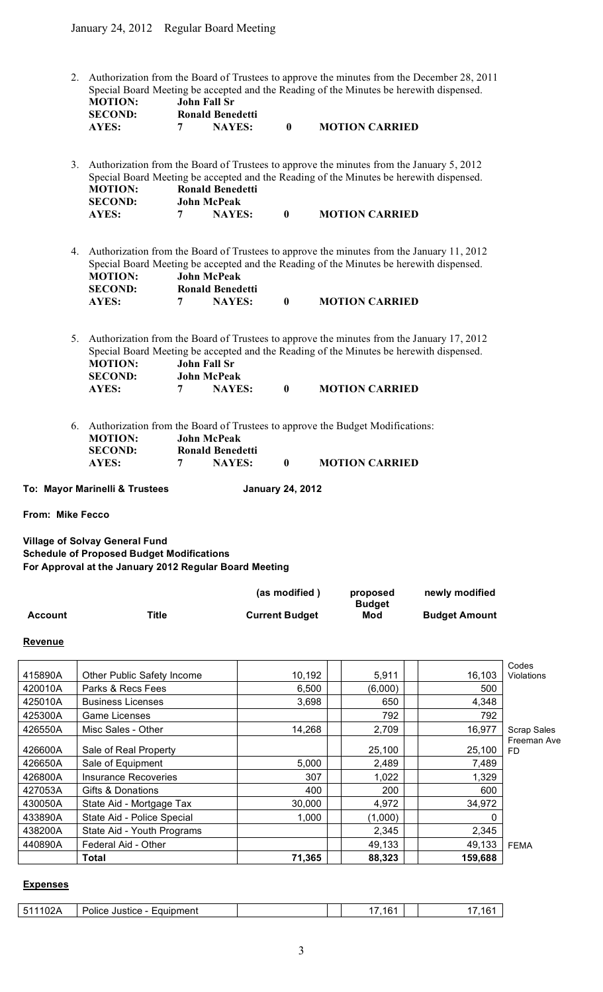2. Authorization from the Board of Trustees to approve the minutes from the December 28, 2011 Special Board Meeting be accepted and the Reading of the Minutes be herewith dispensed. **MOTION: John Fall Sr**

| <b>SECOND:</b> | <b>Ronald Benedetti</b> |                       |
|----------------|-------------------------|-----------------------|
| <b>AYES:</b>   | <b>NAYES:</b>           | <b>MOTION CARRIED</b> |

3. Authorization from the Board of Trustees to approve the minutes from the January 5, 2012 Special Board Meeting be accepted and the Reading of the Minutes be herewith dispensed. **MOTION: Ronald Benedetti SECOND: John McPeak AYES: 7 NAYES: 0 MOTION CARRIED**

4. Authorization from the Board of Trustees to approve the minutes from the January 11, 2012 Special Board Meeting be accepted and the Reading of the Minutes be herewith dispensed.<br>MOTION: John McPeak **MOTION: John McPeak SECOND: Ronald Benedetti**<br>AYES: **7 NAYES: AYES: 7 NAYES: 0 MOTION CARRIED**

5. Authorization from the Board of Trustees to approve the minutes from the January 17, 2012 Special Board Meeting be accepted and the Reading of the Minutes be herewith dispensed. **MOTION: John Fall Sr SECOND: John McPeak AYES: 7 NAYES: 0 MOTION CARRIED**

- 6. Authorization from the Board of Trustees to approve the Budget Modifications: **MOTION: John McPeak SECOND: Ronald Benedetti AYES: 7 NAYES: 0 MOTION CARRIED**
- 

**To: Mayor Marinelli & Trustees January 24, 2012**

**From: Mike Fecco**

**Village of Solvay General Fund Schedule of Proposed Budget Modifications For Approval at the January 2012 Regular Board Meeting**

|                |       | (as modified)         | proposed<br><b>Budget</b> | newly modified       |
|----------------|-------|-----------------------|---------------------------|----------------------|
| <b>Account</b> | Title | <b>Current Budget</b> | Mod                       | <b>Budget Amount</b> |

## **Revenue**

|         | Total                       | 71,365 | 88,323  | 159,688 |                          |
|---------|-----------------------------|--------|---------|---------|--------------------------|
| 440890A | Federal Aid - Other         |        | 49,133  | 49,133  | <b>FEMA</b>              |
| 438200A | State Aid - Youth Programs  |        | 2,345   | 2,345   |                          |
| 433890A | State Aid - Police Special  | 1,000  | (1,000) | 0       |                          |
| 430050A | State Aid - Mortgage Tax    | 30,000 | 4,972   | 34,972  |                          |
| 427053A | Gifts & Donations           | 400    | 200     | 600     |                          |
| 426800A | <b>Insurance Recoveries</b> | 307    | 1,022   | 1,329   |                          |
| 426650A | Sale of Equipment           | 5,000  | 2,489   | 7,489   |                          |
| 426600A | Sale of Real Property       |        | 25,100  | 25,100  | Freeman Ave<br><b>FD</b> |
| 426550A | Misc Sales - Other          | 14,268 | 2,709   | 16,977  | <b>Scrap Sales</b>       |
| 425300A | Game Licenses               |        | 792     | 792     |                          |
| 425010A | <b>Business Licenses</b>    | 3,698  | 650     | 4,348   |                          |
| 420010A | Parks & Recs Fees           | 6,500  | (6,000) | 500     |                          |
| 415890A | Other Public Safety Income  | 10,192 | 5,911   | 16,103  | Codes<br>Violations      |
|         |                             |        |         |         |                          |

#### **Expenses**

| $\sim$ $\sim$<br>-<br>Eauipment<br>Justice<br>Police<br>-<br>$\mathsf{v}_\mathsf{L}$ | .16 |  |
|--------------------------------------------------------------------------------------|-----|--|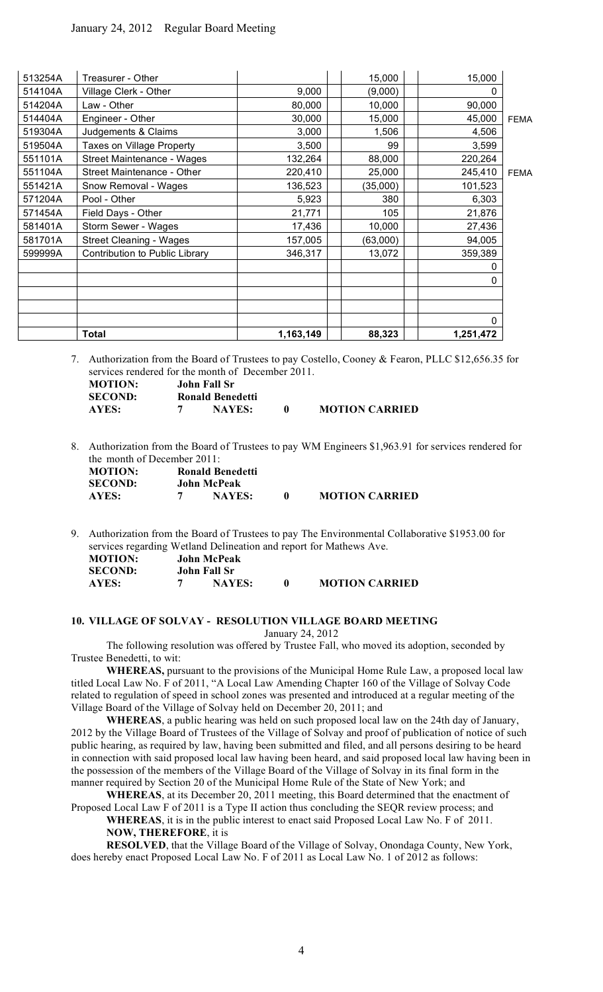|         | <b>Total</b>                   | 1,163,149 | 88,323   | 1,251,472 |             |
|---------|--------------------------------|-----------|----------|-----------|-------------|
|         |                                |           |          | 0         |             |
|         |                                |           |          |           |             |
|         |                                |           |          |           |             |
|         |                                |           |          | 0         |             |
|         |                                |           |          | 0         |             |
| 599999A | Contribution to Public Library | 346,317   | 13,072   | 359,389   |             |
| 581701A | <b>Street Cleaning - Wages</b> | 157,005   | (63,000) | 94,005    |             |
| 581401A | Storm Sewer - Wages            | 17,436    | 10,000   | 27,436    |             |
| 571454A | Field Days - Other             | 21,771    | 105      | 21,876    |             |
| 571204A | Pool - Other                   | 5,923     | 380      | 6,303     |             |
| 551421A | Snow Removal - Wages           | 136,523   | (35,000) | 101,523   |             |
| 551104A | Street Maintenance - Other     | 220,410   | 25,000   | 245,410   | <b>FEMA</b> |
| 551101A | Street Maintenance - Wages     | 132,264   | 88,000   | 220,264   |             |
| 519504A | Taxes on Village Property      | 3,500     | 99       | 3,599     |             |
| 519304A | Judgements & Claims            | 3,000     | 1,506    | 4,506     |             |
| 514404A | Engineer - Other               | 30,000    | 15,000   | 45,000    | <b>FEMA</b> |
| 514204A | Law - Other                    | 80,000    | 10,000   | 90,000    |             |
| 514104A | Village Clerk - Other          | 9,000     | (9,000)  | 0         |             |
| 513254A | Treasurer - Other              |           | 15,000   | 15,000    |             |

7. Authorization from the Board of Trustees to pay Costello, Cooney & Fearon, PLLC \$12,656.35 for services rendered for the month of December 2011.

| <b>MOTION:</b> | John Fall Sr            |                       |
|----------------|-------------------------|-----------------------|
| <b>SECOND:</b> | <b>Ronald Benedetti</b> |                       |
| AYES:          | <b>NAYES:</b>           | <b>MOTION CARRIED</b> |

8. Authorization from the Board of Trustees to pay WM Engineers \$1,963.91 for services rendered for the month of December 2011:

| <b>MOTION:</b> | Ronald Benedetti |                       |
|----------------|------------------|-----------------------|
| <b>SECOND:</b> | John McPeak      |                       |
| AYES:          | <b>NAYES:</b>    | <b>MOTION CARRIED</b> |

9. Authorization from the Board of Trustees to pay The Environmental Collaborative \$1953.00 for services regarding Wetland Delineation and report for Mathews Ave.

| <b>MOTION:</b> | <b>John McPeak</b> |                       |
|----------------|--------------------|-----------------------|
| <b>SECOND:</b> | John Fall Sr       |                       |
| AYES:          | <b>NAYES:</b>      | <b>MOTION CARRIED</b> |

## **10. VILLAGE OF SOLVAY - RESOLUTION VILLAGE BOARD MEETING**

January 24, 2012

The following resolution was offered by Trustee Fall, who moved its adoption, seconded by Trustee Benedetti, to wit:

**WHEREAS,** pursuant to the provisions of the Municipal Home Rule Law, a proposed local law titled Local Law No. F of 2011, "A Local Law Amending Chapter 160 of the Village of Solvay Code related to regulation of speed in school zones was presented and introduced at a regular meeting of the Village Board of the Village of Solvay held on December 20, 2011; and

**WHEREAS**, a public hearing was held on such proposed local law on the 24th day of January, 2012 by the Village Board of Trustees of the Village of Solvay and proof of publication of notice of such public hearing, as required by law, having been submitted and filed, and all persons desiring to be heard in connection with said proposed local law having been heard, and said proposed local law having been in the possession of the members of the Village Board of the Village of Solvay in its final form in the manner required by Section 20 of the Municipal Home Rule of the State of New York; and

**WHEREAS**, at its December 20, 2011 meeting, this Board determined that the enactment of Proposed Local Law F of 2011 is a Type II action thus concluding the SEQR review process; and

**WHEREAS**, it is in the public interest to enact said Proposed Local Law No. F of 2011. **NOW, THEREFORE**, it is

**RESOLVED**, that the Village Board of the Village of Solvay, Onondaga County, New York, does hereby enact Proposed Local Law No. F of 2011 as Local Law No. 1 of 2012 as follows: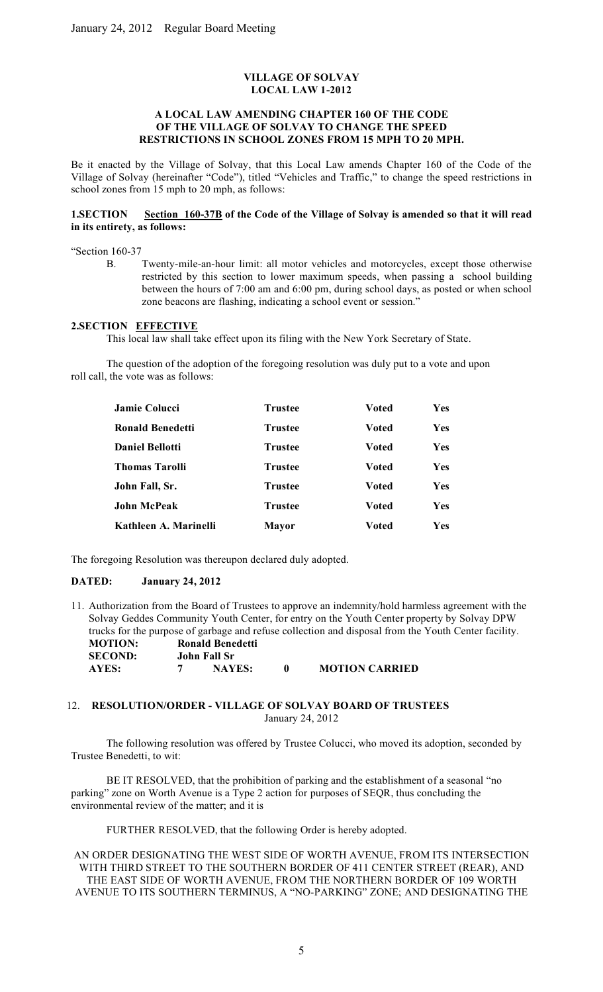# **VILLAGE OF SOLVAY LOCAL LAW 1-2012**

## **A LOCAL LAW AMENDING CHAPTER 160 OF THE CODE OF THE VILLAGE OF SOLVAY TO CHANGE THE SPEED RESTRICTIONS IN SCHOOL ZONES FROM 15 MPH TO 20 MPH.**

Be it enacted by the Village of Solvay, that this Local Law amends Chapter 160 of the Code of the Village of Solvay (hereinafter "Code"), titled "Vehicles and Traffic," to change the speed restrictions in school zones from 15 mph to 20 mph, as follows:

### **1.SECTION Section 160-37B of the Code of the Village of Solvay is amended so that it will read in its entirety, as follows:**

"Section 160-37

B. Twenty-mile-an-hour limit: all motor vehicles and motorcycles, except those otherwise restricted by this section to lower maximum speeds, when passing a school building between the hours of 7:00 am and 6:00 pm, during school days, as posted or when school zone beacons are flashing, indicating a school event or session."

### **2.SECTION EFFECTIVE**

This local law shall take effect upon its filing with the New York Secretary of State.

The question of the adoption of the foregoing resolution was duly put to a vote and upon roll call, the vote was as follows:

| <b>Jamie Colucci</b>    | <b>Trustee</b> | <b>Voted</b> | Yes |
|-------------------------|----------------|--------------|-----|
| <b>Ronald Benedetti</b> | <b>Trustee</b> | <b>Voted</b> | Yes |
| <b>Daniel Bellotti</b>  | <b>Trustee</b> | <b>Voted</b> | Yes |
| <b>Thomas Tarolli</b>   | <b>Trustee</b> | <b>Voted</b> | Yes |
| John Fall, Sr.          | <b>Trustee</b> | Voted        | Yes |
| <b>John McPeak</b>      | <b>Trustee</b> | <b>Voted</b> | Yes |
| Kathleen A. Marinelli   | <b>Mayor</b>   | <b>Voted</b> | Yes |

The foregoing Resolution was thereupon declared duly adopted.

# **DATED: January 24, 2012**

11. Authorization from the Board of Trustees to approve an indemnity/hold harmless agreement with the Solvay Geddes Community Youth Center, for entry on the Youth Center property by Solvay DPW trucks for the purpose of garbage and refuse collection and disposal from the Youth Center facility. **MOTION: Ronald Benedetti SECOND: John Fall Sr AYES: 7 NAYES: 0 MOTION CARRIED**

## 12. **RESOLUTION/ORDER - VILLAGE OF SOLVAY BOARD OF TRUSTEES** January 24, 2012

The following resolution was offered by Trustee Colucci, who moved its adoption, seconded by Trustee Benedetti, to wit:

BE IT RESOLVED, that the prohibition of parking and the establishment of a seasonal "no parking" zone on Worth Avenue is a Type 2 action for purposes of SEQR, thus concluding the environmental review of the matter; and it is

FURTHER RESOLVED, that the following Order is hereby adopted.

AN ORDER DESIGNATING THE WEST SIDE OF WORTH AVENUE, FROM ITS INTERSECTION WITH THIRD STREET TO THE SOUTHERN BORDER OF 411 CENTER STREET (REAR), AND THE EAST SIDE OF WORTH AVENUE, FROM THE NORTHERN BORDER OF 109 WORTH AVENUE TO ITS SOUTHERN TERMINUS, A "NO-PARKING" ZONE; AND DESIGNATING THE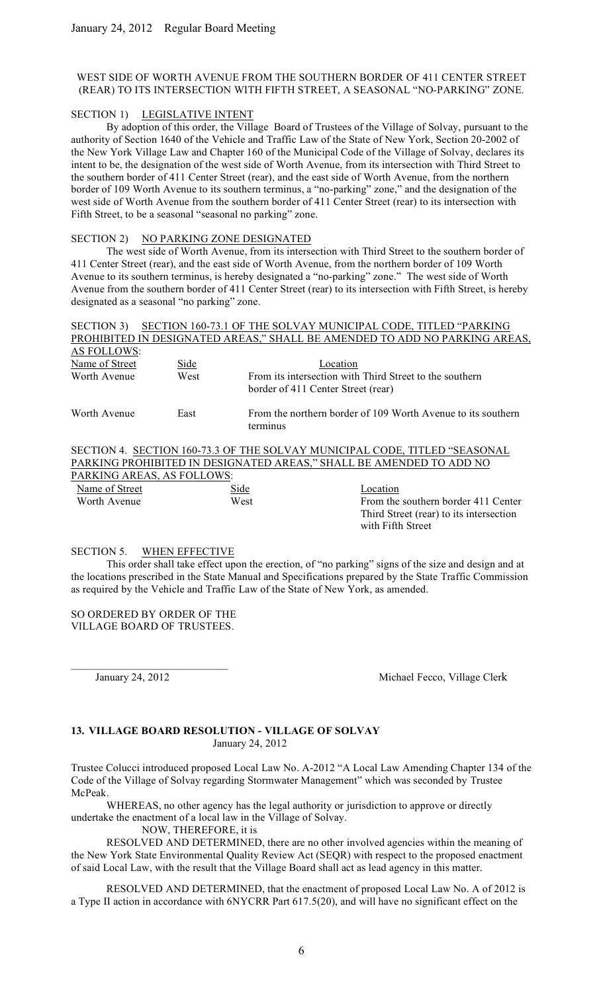## WEST SIDE OF WORTH AVENUE FROM THE SOUTHERN BORDER OF 411 CENTER STREET (REAR) TO ITS INTERSECTION WITH FIFTH STREET, A SEASONAL "NO-PARKING" ZONE.

### SECTION 1) LEGISLATIVE INTENT

By adoption of this order, the Village Board of Trustees of the Village of Solvay, pursuant to the authority of Section 1640 of the Vehicle and Traffic Law of the State of New York, Section 20-2002 of the New York Village Law and Chapter 160 of the Municipal Code of the Village of Solvay, declares its intent to be, the designation of the west side of Worth Avenue, from its intersection with Third Street to the southern border of 411 Center Street (rear), and the east side of Worth Avenue, from the northern border of 109 Worth Avenue to its southern terminus, a "no-parking" zone," and the designation of the west side of Worth Avenue from the southern border of 411 Center Street (rear) to its intersection with Fifth Street, to be a seasonal "seasonal no parking" zone.

### SECTION 2) NO PARKING ZONE DESIGNATED

The west side of Worth Avenue, from its intersection with Third Street to the southern border of 411 Center Street (rear), and the east side of Worth Avenue, from the northern border of 109 Worth Avenue to its southern terminus, is hereby designated a "no-parking" zone." The west side of Worth Avenue from the southern border of 411 Center Street (rear) to its intersection with Fifth Street, is hereby designated as a seasonal "no parking" zone.

| <b>SECTION 3)</b>  |                            |                                    | SECTION 160-73.1 OF THE SOLVAY MUNICIPAL CODE, TITLED "PARKING             |
|--------------------|----------------------------|------------------------------------|----------------------------------------------------------------------------|
|                    |                            |                                    | PROHIBITED IN DESIGNATED AREAS," SHALL BE AMENDED TO ADD NO PARKING AREAS, |
| <b>AS FOLLOWS:</b> |                            |                                    |                                                                            |
| Name of Street     | Side                       | Location                           |                                                                            |
| Worth Avenue       | West                       |                                    | From its intersection with Third Street to the southern                    |
|                    |                            | border of 411 Center Street (rear) |                                                                            |
| Worth Avenue       | East                       | terminus                           | From the northern border of 109 Worth Avenue to its southern               |
|                    |                            |                                    | SECTION 4. SECTION 160-73.3 OF THE SOLVAY MUNICIPAL CODE, TITLED "SEASONAL |
|                    |                            |                                    | PARKING PROHIBITED IN DESIGNATED AREAS," SHALL BE AMENDED TO ADD NO        |
|                    | PARKING AREAS, AS FOLLOWS: |                                    |                                                                            |
| Name of Street     |                            | Side                               | Location                                                                   |
| Worth Avenue       |                            | West                               | From the southern border 411 Center                                        |
|                    |                            |                                    | Third Street (rear) to its intersection<br>with Fifth Street               |

### SECTION 5. WHEN EFFECTIVE

This order shall take effect upon the erection, of "no parking" signs of the size and design and at the locations prescribed in the State Manual and Specifications prepared by the State Traffic Commission as required by the Vehicle and Traffic Law of the State of New York, as amended.

SO ORDERED BY ORDER OF THE VILLAGE BOARD OF TRUSTEES.

 $\mathcal{L}_\text{max}$  and  $\mathcal{L}_\text{max}$  and  $\mathcal{L}_\text{max}$  and  $\mathcal{L}_\text{max}$ 

January 24, 2012 Michael Fecco, Village Clerk

### **13. VILLAGE BOARD RESOLUTION - VILLAGE OF SOLVAY** January 24, 2012

Trustee Colucci introduced proposed Local Law No. A-2012 "A Local Law Amending Chapter 134 of the Code of the Village of Solvay regarding Stormwater Management" which was seconded by Trustee McPeak.

WHEREAS, no other agency has the legal authority or jurisdiction to approve or directly undertake the enactment of a local law in the Village of Solvay.

NOW, THEREFORE, it is

RESOLVED AND DETERMINED, there are no other involved agencies within the meaning of the New York State Environmental Quality Review Act (SEQR) with respect to the proposed enactment of said Local Law, with the result that the Village Board shall act as lead agency in this matter.

RESOLVED AND DETERMINED, that the enactment of proposed Local Law No. A of 2012 is a Type II action in accordance with 6NYCRR Part 617.5(20), and will have no significant effect on the